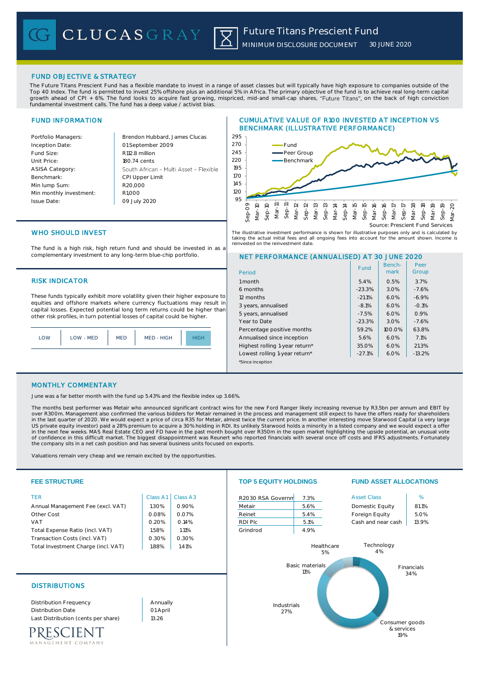## FUND OBJECTIVE & STRATEGY

The Future Titans Prescient Fund has a flexible mandate to invest in a range of asset classes but will typically have high exposure to companies outside of the Top 40 Index. The fund is permitted to invest 25% offshore plus an additional 5% in Africa. The primary objective of the fund is to achieve real long-term capital growth ahead of CPI + 6%. The fund looks to acquire fast growing, mispriced, mid-and small-cap shares, "Future Titans", on the back of high conviction fundamental investment calls. The fund has a deep value / activist bias.

## FUND INFORMATION

| Portfolio Managers:     | Brendon Hubbard, Ja    |
|-------------------------|------------------------|
| Inception Date:         | 01 September 2009      |
| Fund Size:              | R112.8 million         |
| Unit Price:             | 180.74 cents           |
| <b>ASISA Category:</b>  | South African - Multi  |
| Benchmark:              | <b>CPI Upper Limit</b> |
| Min lump Sum:           | R20.000                |
| Min monthly investment: | R <sub>1.000</sub>     |
| <b>Issue Date:</b>      | 09 July 2020           |
|                         |                        |

mes: Clucas Asset - Flexible

## CUMULATIVE VALUE OF R100 INVESTED AT INCEPTION VS BENCHMARK (ILLUSTRATIVE PERFORMANCE)



The illustrative investment performance is shown for illustrative purposes only and is calculated by taking the actual initial fees and all ongoing fees into account for the amount shown. Income is<br>reinvested on the reinvestment date references and the research of the relationships of the relationships of the relationships of the relationships of the relationships of the relationships of the relationships of the relationships of the relationships of th

# WHO SHOULD INVEST

The fund is a high risk, high return fund and should be invested in as a complementary investment to any long-term blue-chip portfolio.

## **RISK INDICATOR**

These funds typically exhibit more volatility given their higher exposure to equities and offshore markets where currency fluctuations may result in capital losses. Expected potential long term returns could be higher than other risk profiles, in turn potential losses of capital could be higher.

|  | .OW | LOW - MED | <b>MED</b> | MED - HIGH |  |
|--|-----|-----------|------------|------------|--|
|--|-----|-----------|------------|------------|--|

## NET PERFORMANCE (ANNUALISED) AT 30 JUNE 2020

| Period                         | Fund     | Bench-<br>mark | Peer<br>Group |
|--------------------------------|----------|----------------|---------------|
| 1 month                        | 5.4%     | 0.5%           | 3.7%          |
| 6 months                       | $-23.3%$ | 3.0%           | $-7.6%$       |
| 12 months                      | $-21.1%$ | 6.0%           | $-6.9%$       |
| 3 years, annualised            | $-8.1%$  | 6.0%           | $-0.1%$       |
| 5 years, annualised            | $-7.5%$  | 6.0%           | 0.9%          |
| Year to Date                   | $-23.3%$ | 3.0%           | $-7.6%$       |
| Percentage positive months     | 59.2%    | 100.0%         | 63.8%         |
| Annualised since inception     | 5.6%     | 6.0%           | 7.1%          |
| Highest rolling 1-year return* | 35.0%    | 6.0%           | 21.3%         |
| Lowest rolling 1-year return*  | $-27.1%$ | 6.0%           | $-13.2%$      |
| *Since inception               |          |                |               |

### MONTHLY COMMENTARY

June was a far better month with the fund up 5.43% and the flexible index up 3.66%.

The months best performer was Metair who announced significant contract wins for the new Ford Ranger likely increasing revenue by R3.5bn per annum and EBIT by<br>over R300m. Management also confirmed the various bidders for M of confidence in this difficult market. The biggest disappointment was Reunert who reported financials with several once off costs and IFRS adjustments. Fortunately the company sits in a net cash position and has several business units focused on exports.

Valuations remain very cheap and we remain excited by the opportunities.